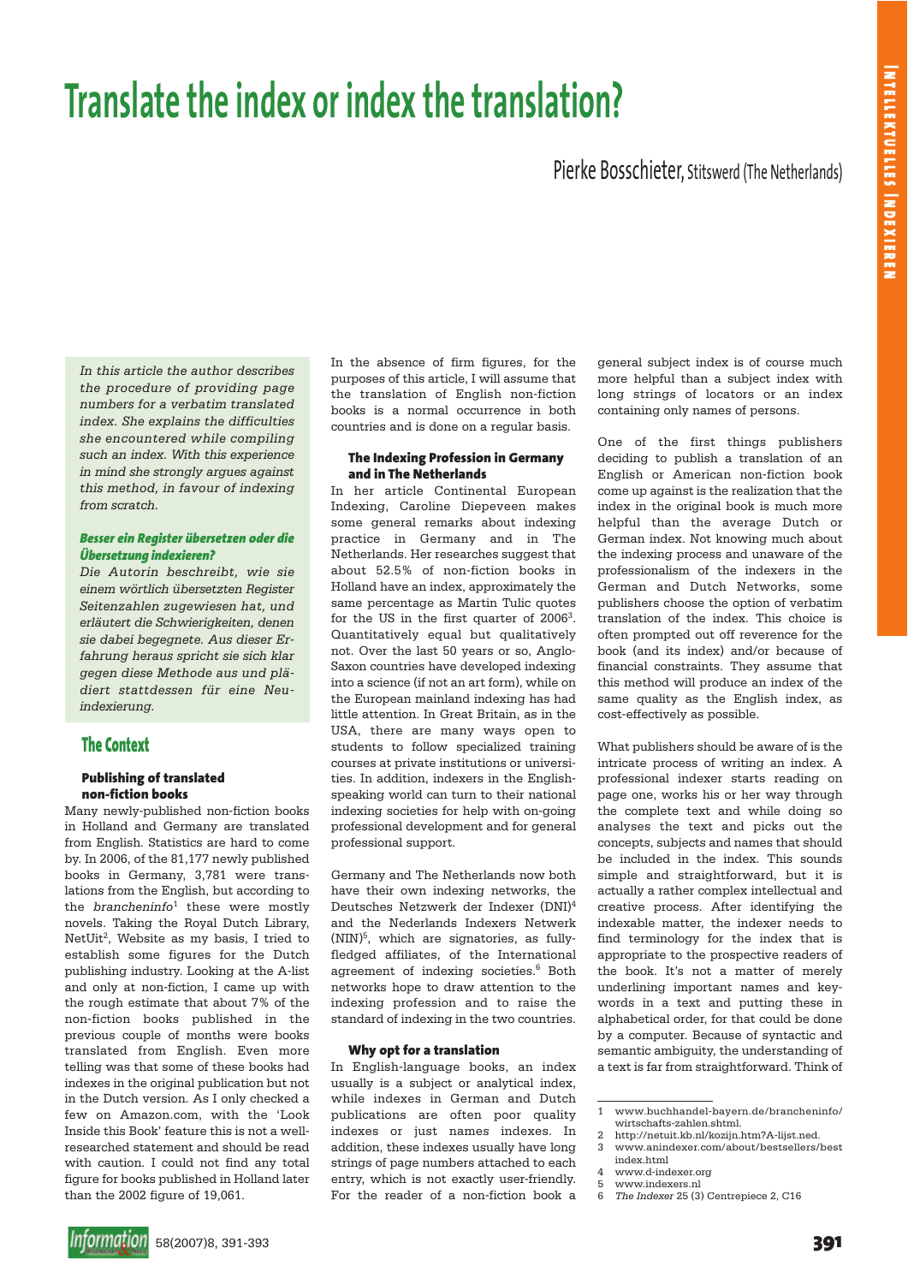# **Translate the index or index the translation?**

# Pierke Bosschieter, Stitswerd (The Netherlands)

*In this article the author describes the procedure of providing page numbers for a verbatim translated index. She explains the difficulties she encountered while compiling such an index. With this experience in mind she strongly argues against this method, in favour of indexing from scratch.*

#### *Besser ein Register übersetzen oder die Übersetzung indexieren?*

*Die Autorin beschreibt, wie sie einem wörtlich übersetzten Register Seitenzahlen zugewiesen hat, und erläutert die Schwierigkeiten, denen sie dabei begegnete. Aus dieser Erfahrung heraus spricht sie sich klar gegen diese Methode aus und plädiert stattdessen für eine Neuindexierung.*

## **The Context**

#### **Publishing of translated non-fiction books**

Many newly-published non-fiction books in Holland and Germany are translated from English. Statistics are hard to come by. In 2006, of the 81,177 newly published books in Germany, 3,781 were translations from the English, but according to the *brancheninfo*<sup>1</sup> these were mostly novels. Taking the Royal Dutch Library, NetUit<sup>2</sup>, Website as my basis, I tried to establish some figures for the Dutch publishing industry. Looking at the A-list and only at non-fiction, I came up with the rough estimate that about 7% of the non-fiction books published in the previous couple of months were books translated from English. Even more telling was that some of these books had indexes in the original publication but not in the Dutch version. As I only checked a few on Amazon.com, with the 'Look Inside this Book' feature this is not a wellresearched statement and should be read with caution. I could not find any total figure for books published in Holland later than the 2002 figure of 19,061.

In the absence of firm figures, for the purposes of this article, I will assume that the translation of English non-fiction books is a normal occurrence in both countries and is done on a regular basis.

#### **The Indexing Profession in Germany and in The Netherlands**

In her article Continental European Indexing, Caroline Diepeveen makes some general remarks about indexing practice in Germany and in The Netherlands. Her researches suggest that about 52.5% of non-fiction books in Holland have an index, approximately the same percentage as Martin Tulic quotes for the US in the first quarter of 2006<sup>3</sup>. Quantitatively equal but qualitatively not. Over the last 50 years or so, Anglo-Saxon countries have developed indexing into a science (if not an art form), while on the European mainland indexing has had little attention. In Great Britain, as in the USA, there are many ways open to students to follow specialized training courses at private institutions or universities. In addition, indexers in the Englishspeaking world can turn to their national indexing societies for help with on-going professional development and for general professional support.

Germany and The Netherlands now both have their own indexing networks, the Deutsches Netzwerk der Indexer (DNI)4 and the Nederlands Indexers Netwerk (NIN)5, which are signatories, as fullyfledged affiliates, of the International agreement of indexing societies.<sup>6</sup> Both networks hope to draw attention to the indexing profession and to raise the standard of indexing in the two countries.

#### **Why opt for a translation**

In English-language books, an index usually is a subject or analytical index, while indexes in German and Dutch publications are often poor quality indexes or just names indexes. In addition, these indexes usually have long strings of page numbers attached to each entry, which is not exactly user-friendly. For the reader of a non-fiction book a

general subject index is of course much more helpful than a subject index with long strings of locators or an index containing only names of persons.

One of the first things publishers deciding to publish a translation of an English or American non-fiction book come up against is the realization that the index in the original book is much more helpful than the average Dutch or German index. Not knowing much about the indexing process and unaware of the professionalism of the indexers in the German and Dutch Networks, some publishers choose the option of verbatim translation of the index. This choice is often prompted out off reverence for the book (and its index) and/or because of financial constraints. They assume that this method will produce an index of the same quality as the English index, as cost-effectively as possible.

What publishers should be aware of is the intricate process of writing an index. A professional indexer starts reading on page one, works his or her way through the complete text and while doing so analyses the text and picks out the concepts, subjects and names that should be included in the index. This sounds simple and straightforward, but it is actually a rather complex intellectual and creative process. After identifying the indexable matter, the indexer needs to find terminology for the index that is appropriate to the prospective readers of the book. It's not a matter of merely underlining important names and keywords in a text and putting these in alphabetical order, for that could be done by a computer. Because of syntactic and semantic ambiguity, the understanding of a text is far from straightforward. Think of

<sup>1</sup> www.buchhandel-bayern.de/brancheninfo/ wirtschafts-zahlen.shtml.

<sup>2</sup> http://netuit.kb.nl/kozijn.htm?A-lijst.ned.<br>3 www.anindexer.com/about/bestsellers/ 3 www.anindexer.com/about/bestsellers/best

index.html 4 www.d-indexer.org

<sup>5</sup> www.indexers.nl

<sup>6</sup> *The Indexer* 25 (3) Centrepiece 2, C16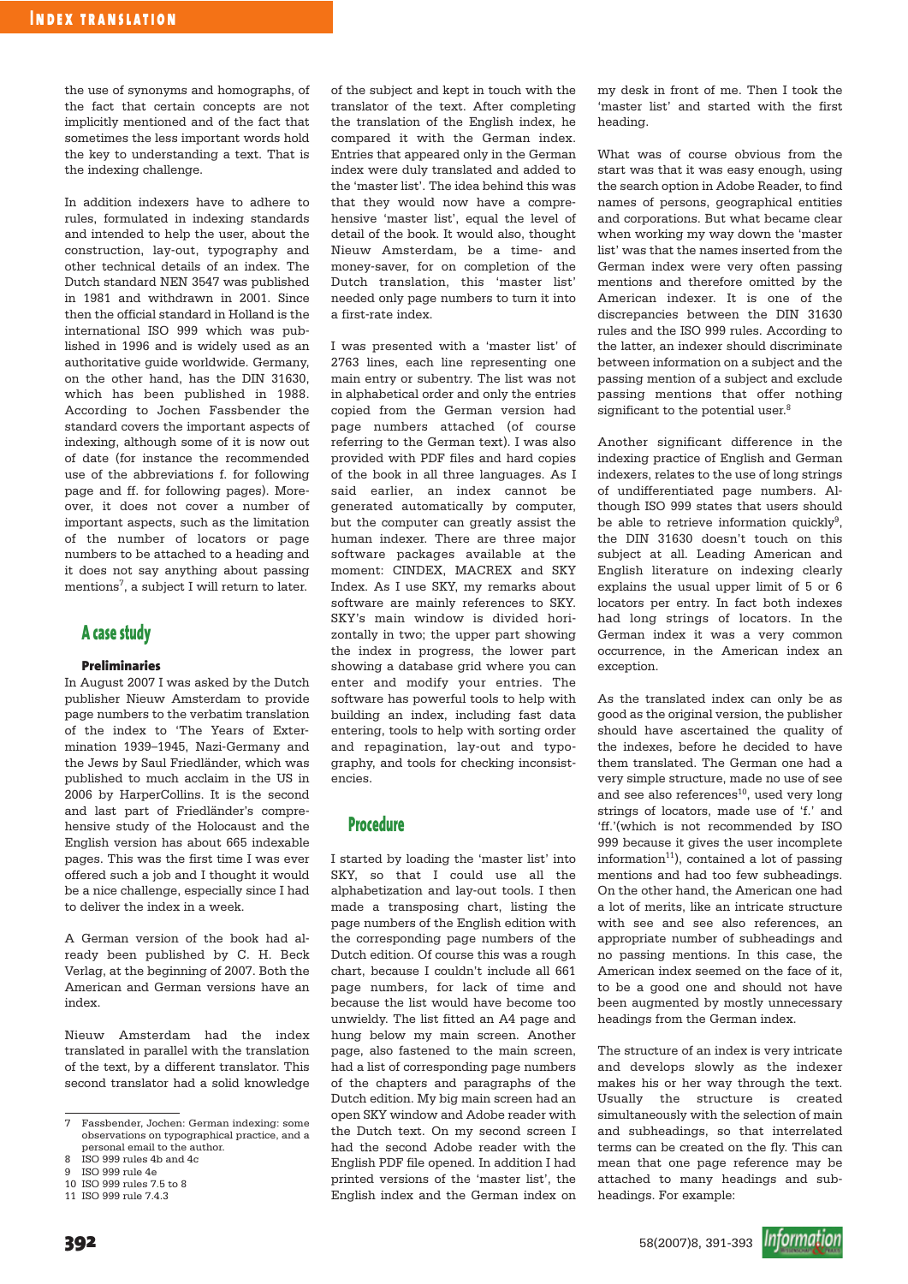the use of synonyms and homographs, of the fact that certain concepts are not implicitly mentioned and of the fact that sometimes the less important words hold the key to understanding a text. That is the indexing challenge.

In addition indexers have to adhere to rules, formulated in indexing standards and intended to help the user, about the construction, lay-out, typography and other technical details of an index. The Dutch standard NEN 3547 was published in 1981 and withdrawn in 2001. Since then the official standard in Holland is the international ISO 999 which was published in 1996 and is widely used as an authoritative guide worldwide. Germany, on the other hand, has the DIN 31630, which has been published in 1988. According to Jochen Fassbender the standard covers the important aspects of indexing, although some of it is now out of date (for instance the recommended use of the abbreviations f. for following page and ff. for following pages). Moreover, it does not cover a number of important aspects, such as the limitation of the number of locators or page numbers to be attached to a heading and it does not say anything about passing mentions<sup>7</sup>, a subject I will return to later.

## **A case study**

#### **Preliminaries**

In August 2007 I was asked by the Dutch publisher Nieuw Amsterdam to provide page numbers to the verbatim translation of the index to 'The Years of Extermination 1939–1945, Nazi-Germany and the Jews by Saul Friedländer, which was published to much acclaim in the US in 2006 by HarperCollins. It is the second and last part of Friedländer's comprehensive study of the Holocaust and the English version has about 665 indexable pages. This was the first time I was ever offered such a job and I thought it would be a nice challenge, especially since I had to deliver the index in a week.

A German version of the book had already been published by C. H. Beck Verlag, at the beginning of 2007. Both the American and German versions have an index.

Nieuw Amsterdam had the index translated in parallel with the translation of the text, by a different translator. This second translator had a solid knowledge

of the subject and kept in touch with the translator of the text. After completing the translation of the English index, he compared it with the German index. Entries that appeared only in the German index were duly translated and added to the 'master list'. The idea behind this was that they would now have a comprehensive 'master list', equal the level of detail of the book. It would also, thought Nieuw Amsterdam, be a time- and money-saver, for on completion of the Dutch translation, this 'master list' needed only page numbers to turn it into a first-rate index.

I was presented with a 'master list' of 2763 lines, each line representing one main entry or subentry. The list was not in alphabetical order and only the entries copied from the German version had page numbers attached (of course referring to the German text). I was also provided with PDF files and hard copies of the book in all three languages. As I said earlier, an index cannot be generated automatically by computer, but the computer can greatly assist the human indexer. There are three major software packages available at the moment: CINDEX, MACREX and SKY Index. As I use SKY, my remarks about software are mainly references to SKY. SKY's main window is divided horizontally in two; the upper part showing the index in progress, the lower part showing a database grid where you can enter and modify your entries. The software has powerful tools to help with building an index, including fast data entering, tools to help with sorting order and repagination, lay-out and typography, and tools for checking inconsistencies.

## **Procedure**

I started by loading the 'master list' into SKY, so that I could use all the alphabetization and lay-out tools. I then made a transposing chart, listing the page numbers of the English edition with the corresponding page numbers of the Dutch edition. Of course this was a rough chart, because I couldn't include all 661 page numbers, for lack of time and because the list would have become too unwieldy. The list fitted an A4 page and hung below my main screen. Another page, also fastened to the main screen, had a list of corresponding page numbers of the chapters and paragraphs of the Dutch edition. My big main screen had an open SKY window and Adobe reader with the Dutch text. On my second screen I had the second Adobe reader with the English PDF file opened. In addition I had printed versions of the 'master list', the English index and the German index on

my desk in front of me. Then I took the 'master list' and started with the first heading.

What was of course obvious from the start was that it was easy enough, using the search option in Adobe Reader, to find names of persons, geographical entities and corporations. But what became clear when working my way down the 'master list' was that the names inserted from the German index were very often passing mentions and therefore omitted by the American indexer. It is one of the discrepancies between the DIN 31630 rules and the ISO 999 rules. According to the latter, an indexer should discriminate between information on a subject and the passing mention of a subject and exclude passing mentions that offer nothing significant to the potential user.<sup>8</sup>

Another significant difference in the indexing practice of English and German indexers, relates to the use of long strings of undifferentiated page numbers. Although ISO 999 states that users should be able to retrieve information quickly<sup>9</sup>. the DIN 31630 doesn't touch on this subject at all. Leading American and English literature on indexing clearly explains the usual upper limit of 5 or 6 locators per entry. In fact both indexes had long strings of locators. In the German index it was a very common occurrence, in the American index an exception.

As the translated index can only be as good as the original version, the publisher should have ascertained the quality of the indexes, before he decided to have them translated. The German one had a very simple structure, made no use of see and see also references<sup>10</sup>, used very long strings of locators, made use of 'f.' and 'ff.'(which is not recommended by ISO 999 because it gives the user incomplete information $11$ ), contained a lot of passing mentions and had too few subheadings. On the other hand, the American one had a lot of merits, like an intricate structure with see and see also references, an appropriate number of subheadings and no passing mentions. In this case, the American index seemed on the face of it, to be a good one and should not have been augmented by mostly unnecessary headings from the German index.

The structure of an index is very intricate and develops slowly as the indexer makes his or her way through the text. Usually the structure is created simultaneously with the selection of main and subheadings, so that interrelated terms can be created on the fly. This can mean that one page reference may be attached to many headings and subheadings. For example:



<sup>7</sup> Fassbender, Jochen: German indexing: some observations on typographical practice, and a personal email to the author.

<sup>8</sup> ISO 999 rules  $4b$  and  $4c$ <br>a  $\frac{150}{999}$  rule  $4c$ 

<sup>9</sup> ISO 999 rule 4e 10 ISO 999 rules 7.5 to 8

<sup>11</sup> ISO 999 rule 7.4.3